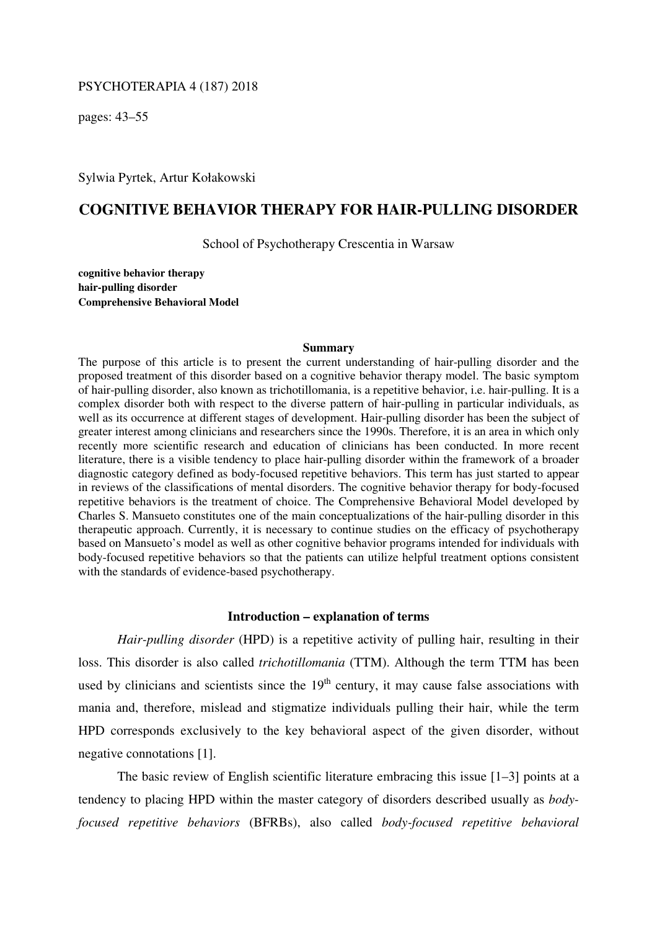## PSYCHOTERAPIA 4 (187) 2018

pages: 43–55

Sylwia Pyrtek, Artur Kołakowski

# **COGNITIVE BEHAVIOR THERAPY FOR HAIR-PULLING DISORDER**

School of Psychotherapy Crescentia in Warsaw

**cognitive behavior therapy hair-pulling disorder Comprehensive Behavioral Model** 

#### **Summary**

The purpose of this article is to present the current understanding of hair-pulling disorder and the proposed treatment of this disorder based on a cognitive behavior therapy model. The basic symptom of hair-pulling disorder, also known as trichotillomania, is a repetitive behavior, i.e. hair-pulling. It is a complex disorder both with respect to the diverse pattern of hair-pulling in particular individuals, as well as its occurrence at different stages of development. Hair-pulling disorder has been the subject of greater interest among clinicians and researchers since the 1990s. Therefore, it is an area in which only recently more scientific research and education of clinicians has been conducted. In more recent literature, there is a visible tendency to place hair-pulling disorder within the framework of a broader diagnostic category defined as body-focused repetitive behaviors. This term has just started to appear in reviews of the classifications of mental disorders. The cognitive behavior therapy for body-focused repetitive behaviors is the treatment of choice. The Comprehensive Behavioral Model developed by Charles S. Mansueto constitutes one of the main conceptualizations of the hair-pulling disorder in this therapeutic approach. Currently, it is necessary to continue studies on the efficacy of psychotherapy based on Mansueto's model as well as other cognitive behavior programs intended for individuals with body-focused repetitive behaviors so that the patients can utilize helpful treatment options consistent with the standards of evidence-based psychotherapy.

#### **Introduction – explanation of terms**

*Hair-pulling disorder* (HPD) is a repetitive activity of pulling hair, resulting in their loss. This disorder is also called *trichotillomania* (TTM). Although the term TTM has been used by clinicians and scientists since the  $19<sup>th</sup>$  century, it may cause false associations with mania and, therefore, mislead and stigmatize individuals pulling their hair, while the term HPD corresponds exclusively to the key behavioral aspect of the given disorder, without negative connotations [1].

The basic review of English scientific literature embracing this issue [1–3] points at a tendency to placing HPD within the master category of disorders described usually as *bodyfocused repetitive behaviors* (BFRBs), also called *body-focused repetitive behavioral*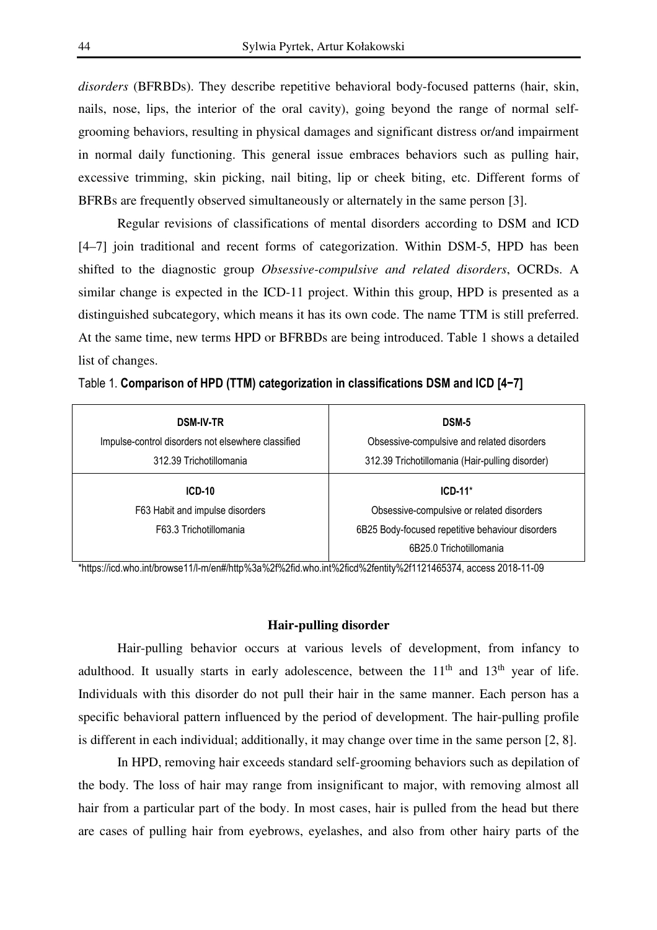*disorders* (BFRBDs). They describe repetitive behavioral body-focused patterns (hair, skin, nails, nose, lips, the interior of the oral cavity), going beyond the range of normal selfgrooming behaviors, resulting in physical damages and significant distress or/and impairment in normal daily functioning. This general issue embraces behaviors such as pulling hair, excessive trimming, skin picking, nail biting, lip or cheek biting, etc. Different forms of BFRBs are frequently observed simultaneously or alternately in the same person [3].

Regular revisions of classifications of mental disorders according to DSM and ICD [4–7] join traditional and recent forms of categorization. Within DSM-5, HPD has been shifted to the diagnostic group *Obsessive-compulsive and related disorders*, OCRDs. A similar change is expected in the ICD-11 project. Within this group, HPD is presented as a distinguished subcategory, which means it has its own code. The name TTM is still preferred. At the same time, new terms HPD or BFRBDs are being introduced. Table 1 shows a detailed list of changes.

| <b>DSM-IV-TR</b><br>Impulse-control disorders not elsewhere classified | DSM-5<br>Obsessive-compulsive and related disorders |
|------------------------------------------------------------------------|-----------------------------------------------------|
| 312.39 Trichotillomania                                                | 312.39 Trichotillomania (Hair-pulling disorder)     |
| $ICD-10$                                                               | $ICD-11*$                                           |
| F63 Habit and impulse disorders                                        | Obsessive-compulsive or related disorders           |
| F63.3 Trichotillomania                                                 | 6B25 Body-focused repetitive behaviour disorders    |
|                                                                        | 6B25.0 Trichotillomania                             |

Table 1. **Comparison of HPD (TTM) categorization in classifications DSM and ICD [4−7]**

\*https://icd.who.int/browse11/l-m/en#/http%3a%2f%2fid.who.int%2ficd%2fentity%2f1121465374, access 2018-11-09

## **Hair-pulling disorder**

Hair-pulling behavior occurs at various levels of development, from infancy to adulthood. It usually starts in early adolescence, between the  $11<sup>th</sup>$  and  $13<sup>th</sup>$  year of life. Individuals with this disorder do not pull their hair in the same manner. Each person has a specific behavioral pattern influenced by the period of development. The hair-pulling profile is different in each individual; additionally, it may change over time in the same person [2, 8].

In HPD, removing hair exceeds standard self-grooming behaviors such as depilation of the body. The loss of hair may range from insignificant to major, with removing almost all hair from a particular part of the body. In most cases, hair is pulled from the head but there are cases of pulling hair from eyebrows, eyelashes, and also from other hairy parts of the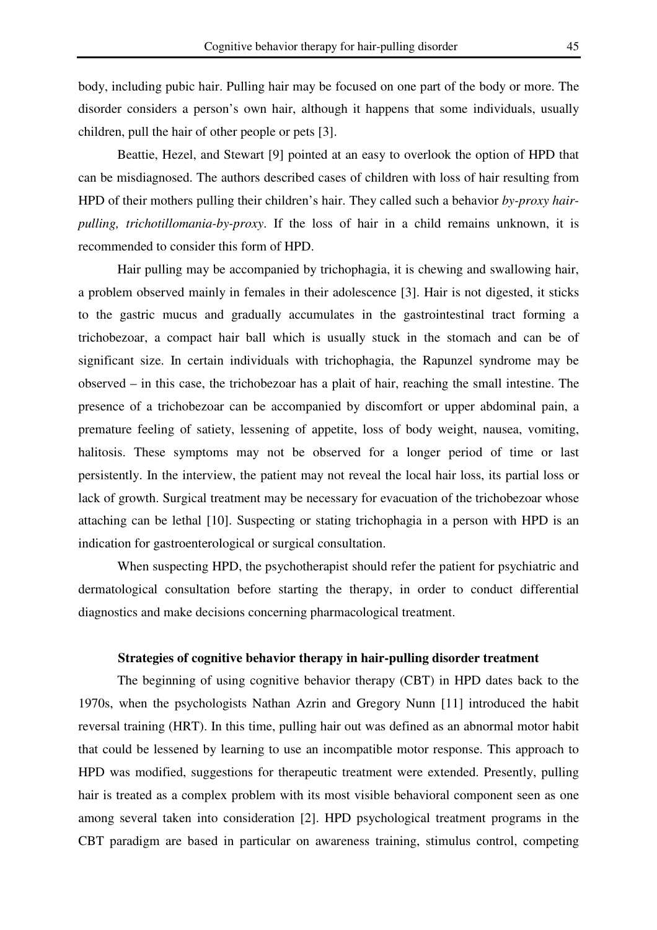body, including pubic hair. Pulling hair may be focused on one part of the body or more. The disorder considers a person's own hair, although it happens that some individuals, usually children, pull the hair of other people or pets [3].

Beattie, Hezel, and Stewart [9] pointed at an easy to overlook the option of HPD that can be misdiagnosed. The authors described cases of children with loss of hair resulting from HPD of their mothers pulling their children's hair. They called such a behavior *by-proxy hairpulling, trichotillomania-by-proxy*. If the loss of hair in a child remains unknown, it is recommended to consider this form of HPD.

Hair pulling may be accompanied by trichophagia, it is chewing and swallowing hair, a problem observed mainly in females in their adolescence [3]. Hair is not digested, it sticks to the gastric mucus and gradually accumulates in the gastrointestinal tract forming a trichobezoar, a compact hair ball which is usually stuck in the stomach and can be of significant size. In certain individuals with trichophagia, the Rapunzel syndrome may be observed – in this case, the trichobezoar has a plait of hair, reaching the small intestine. The presence of a trichobezoar can be accompanied by discomfort or upper abdominal pain, a premature feeling of satiety, lessening of appetite, loss of body weight, nausea, vomiting, halitosis. These symptoms may not be observed for a longer period of time or last persistently. In the interview, the patient may not reveal the local hair loss, its partial loss or lack of growth. Surgical treatment may be necessary for evacuation of the trichobezoar whose attaching can be lethal [10]. Suspecting or stating trichophagia in a person with HPD is an indication for gastroenterological or surgical consultation.

When suspecting HPD, the psychotherapist should refer the patient for psychiatric and dermatological consultation before starting the therapy, in order to conduct differential diagnostics and make decisions concerning pharmacological treatment.

# **Strategies of cognitive behavior therapy in hair-pulling disorder treatment**

The beginning of using cognitive behavior therapy (CBT) in HPD dates back to the 1970s, when the psychologists Nathan Azrin and Gregory Nunn [11] introduced the habit reversal training (HRT). In this time, pulling hair out was defined as an abnormal motor habit that could be lessened by learning to use an incompatible motor response. This approach to HPD was modified, suggestions for therapeutic treatment were extended. Presently, pulling hair is treated as a complex problem with its most visible behavioral component seen as one among several taken into consideration [2]. HPD psychological treatment programs in the CBT paradigm are based in particular on awareness training, stimulus control, competing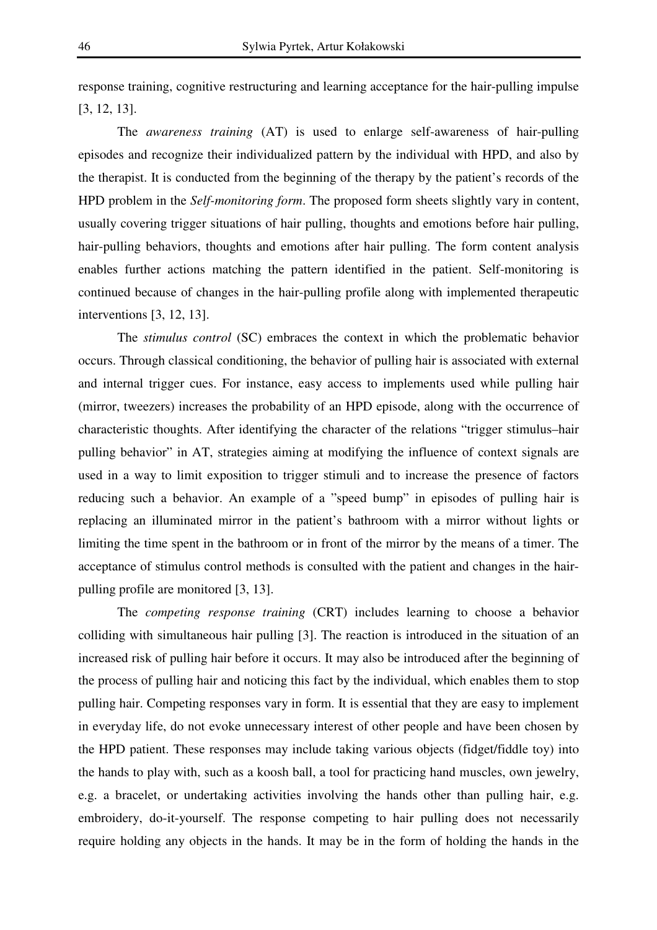response training, cognitive restructuring and learning acceptance for the hair-pulling impulse [3, 12, 13].

The *awareness training* (AT) is used to enlarge self-awareness of hair-pulling episodes and recognize their individualized pattern by the individual with HPD, and also by the therapist. It is conducted from the beginning of the therapy by the patient's records of the HPD problem in the *Self-monitoring form*. The proposed form sheets slightly vary in content, usually covering trigger situations of hair pulling, thoughts and emotions before hair pulling, hair-pulling behaviors, thoughts and emotions after hair pulling. The form content analysis enables further actions matching the pattern identified in the patient. Self-monitoring is continued because of changes in the hair-pulling profile along with implemented therapeutic interventions [3, 12, 13].

The *stimulus control* (SC) embraces the context in which the problematic behavior occurs. Through classical conditioning, the behavior of pulling hair is associated with external and internal trigger cues. For instance, easy access to implements used while pulling hair (mirror, tweezers) increases the probability of an HPD episode, along with the occurrence of characteristic thoughts. After identifying the character of the relations "trigger stimulus–hair pulling behavior" in AT, strategies aiming at modifying the influence of context signals are used in a way to limit exposition to trigger stimuli and to increase the presence of factors reducing such a behavior. An example of a "speed bump" in episodes of pulling hair is replacing an illuminated mirror in the patient's bathroom with a mirror without lights or limiting the time spent in the bathroom or in front of the mirror by the means of a timer. The acceptance of stimulus control methods is consulted with the patient and changes in the hairpulling profile are monitored [3, 13].

The *competing response training* (CRT) includes learning to choose a behavior colliding with simultaneous hair pulling [3]. The reaction is introduced in the situation of an increased risk of pulling hair before it occurs. It may also be introduced after the beginning of the process of pulling hair and noticing this fact by the individual, which enables them to stop pulling hair. Competing responses vary in form. It is essential that they are easy to implement in everyday life, do not evoke unnecessary interest of other people and have been chosen by the HPD patient. These responses may include taking various objects (fidget/fiddle toy) into the hands to play with, such as a koosh ball, a tool for practicing hand muscles, own jewelry, e.g. a bracelet, or undertaking activities involving the hands other than pulling hair, e.g. embroidery, do-it-yourself. The response competing to hair pulling does not necessarily require holding any objects in the hands. It may be in the form of holding the hands in the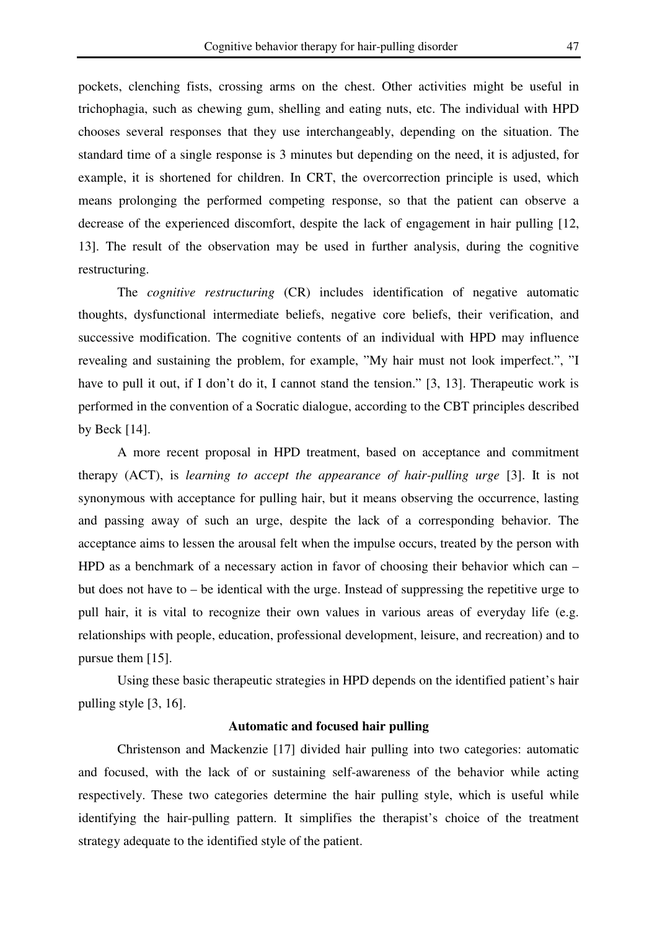pockets, clenching fists, crossing arms on the chest. Other activities might be useful in trichophagia, such as chewing gum, shelling and eating nuts, etc. The individual with HPD chooses several responses that they use interchangeably, depending on the situation. The standard time of a single response is 3 minutes but depending on the need, it is adjusted, for example, it is shortened for children. In CRT, the overcorrection principle is used, which means prolonging the performed competing response, so that the patient can observe a decrease of the experienced discomfort, despite the lack of engagement in hair pulling [12, 13]. The result of the observation may be used in further analysis, during the cognitive restructuring.

The *cognitive restructuring* (CR) includes identification of negative automatic thoughts, dysfunctional intermediate beliefs, negative core beliefs, their verification, and successive modification. The cognitive contents of an individual with HPD may influence revealing and sustaining the problem, for example, "My hair must not look imperfect.", "I have to pull it out, if I don't do it, I cannot stand the tension." [3, 13]. Therapeutic work is performed in the convention of a Socratic dialogue, according to the CBT principles described by Beck [14].

A more recent proposal in HPD treatment, based on acceptance and commitment therapy (ACT), is *learning to accept the appearance of hair-pulling urge* [3]. It is not synonymous with acceptance for pulling hair, but it means observing the occurrence, lasting and passing away of such an urge, despite the lack of a corresponding behavior. The acceptance aims to lessen the arousal felt when the impulse occurs, treated by the person with HPD as a benchmark of a necessary action in favor of choosing their behavior which can – but does not have to – be identical with the urge. Instead of suppressing the repetitive urge to pull hair, it is vital to recognize their own values in various areas of everyday life (e.g. relationships with people, education, professional development, leisure, and recreation) and to pursue them [15].

Using these basic therapeutic strategies in HPD depends on the identified patient's hair pulling style [3, 16].

## **Automatic and focused hair pulling**

Christenson and Mackenzie [17] divided hair pulling into two categories: automatic and focused, with the lack of or sustaining self-awareness of the behavior while acting respectively. These two categories determine the hair pulling style, which is useful while identifying the hair-pulling pattern. It simplifies the therapist's choice of the treatment strategy adequate to the identified style of the patient.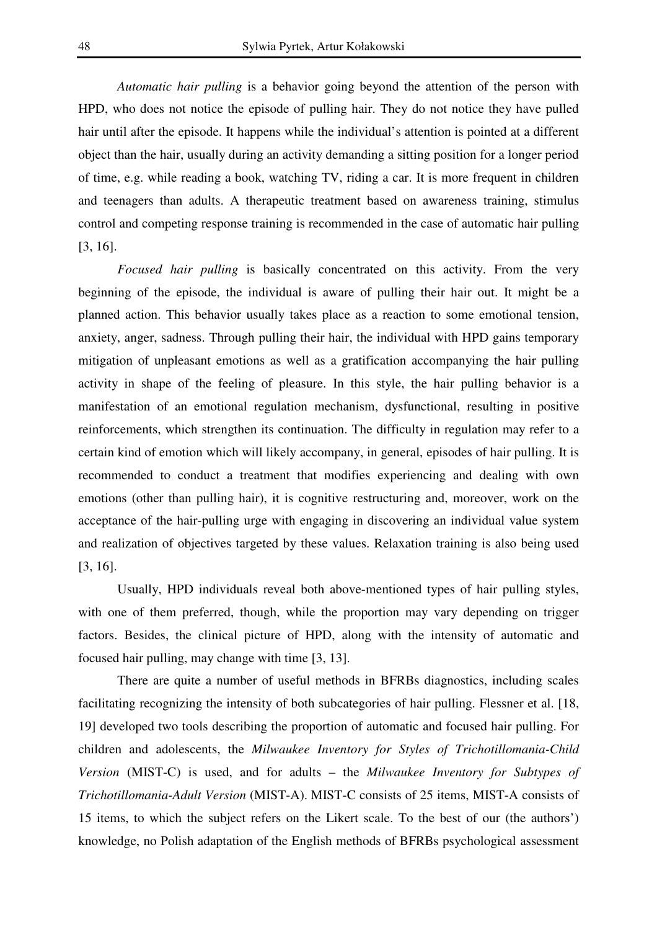*Automatic hair pulling* is a behavior going beyond the attention of the person with HPD, who does not notice the episode of pulling hair. They do not notice they have pulled hair until after the episode. It happens while the individual's attention is pointed at a different object than the hair, usually during an activity demanding a sitting position for a longer period of time, e.g. while reading a book, watching TV, riding a car. It is more frequent in children and teenagers than adults. A therapeutic treatment based on awareness training, stimulus control and competing response training is recommended in the case of automatic hair pulling [3, 16].

*Focused hair pulling* is basically concentrated on this activity. From the very beginning of the episode, the individual is aware of pulling their hair out. It might be a planned action. This behavior usually takes place as a reaction to some emotional tension, anxiety, anger, sadness. Through pulling their hair, the individual with HPD gains temporary mitigation of unpleasant emotions as well as a gratification accompanying the hair pulling activity in shape of the feeling of pleasure. In this style, the hair pulling behavior is a manifestation of an emotional regulation mechanism, dysfunctional, resulting in positive reinforcements, which strengthen its continuation. The difficulty in regulation may refer to a certain kind of emotion which will likely accompany, in general, episodes of hair pulling. It is recommended to conduct a treatment that modifies experiencing and dealing with own emotions (other than pulling hair), it is cognitive restructuring and, moreover, work on the acceptance of the hair-pulling urge with engaging in discovering an individual value system and realization of objectives targeted by these values. Relaxation training is also being used [3, 16].

Usually, HPD individuals reveal both above-mentioned types of hair pulling styles, with one of them preferred, though, while the proportion may vary depending on trigger factors. Besides, the clinical picture of HPD, along with the intensity of automatic and focused hair pulling, may change with time [3, 13].

There are quite a number of useful methods in BFRBs diagnostics, including scales facilitating recognizing the intensity of both subcategories of hair pulling. Flessner et al. [18, 19] developed two tools describing the proportion of automatic and focused hair pulling. For children and adolescents, the *Milwaukee Inventory for Styles of Trichotillomania-Child Version* (MIST-C) is used, and for adults – the *Milwaukee Inventory for Subtypes of Trichotillomania-Adult Version* (MIST-A). MIST-C consists of 25 items, MIST-A consists of 15 items, to which the subject refers on the Likert scale. To the best of our (the authors') knowledge, no Polish adaptation of the English methods of BFRBs psychological assessment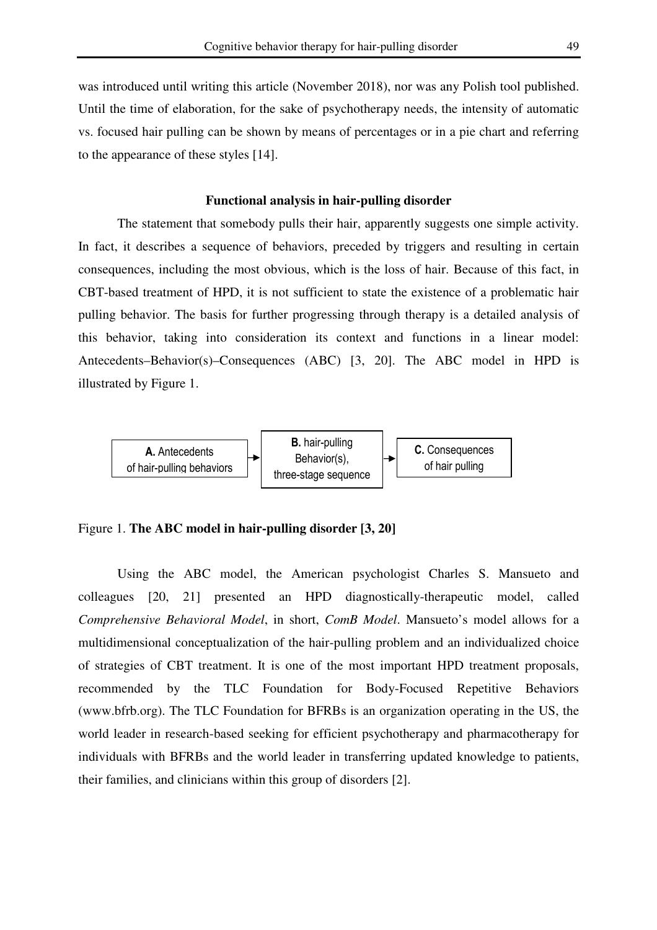was introduced until writing this article (November 2018), nor was any Polish tool published. Until the time of elaboration, for the sake of psychotherapy needs, the intensity of automatic vs. focused hair pulling can be shown by means of percentages or in a pie chart and referring to the appearance of these styles [14].

## **Functional analysis in hair-pulling disorder**

The statement that somebody pulls their hair, apparently suggests one simple activity. In fact, it describes a sequence of behaviors, preceded by triggers and resulting in certain consequences, including the most obvious, which is the loss of hair. Because of this fact, in CBT-based treatment of HPD, it is not sufficient to state the existence of a problematic hair pulling behavior. The basis for further progressing through therapy is a detailed analysis of this behavior, taking into consideration its context and functions in a linear model: Antecedents–Behavior(s)–Consequences (ABC) [3, 20]. The ABC model in HPD is illustrated by Figure 1.



# Figure 1. **The ABC model in hair-pulling disorder [3, 20]**

Using the ABC model, the American psychologist Charles S. Mansueto and colleagues [20, 21] presented an HPD diagnostically-therapeutic model, called *Comprehensive Behavioral Model*, in short, *ComB Model*. Mansueto's model allows for a multidimensional conceptualization of the hair-pulling problem and an individualized choice of strategies of CBT treatment. It is one of the most important HPD treatment proposals, recommended by the TLC Foundation for Body-Focused Repetitive Behaviors (www.bfrb.org). The TLC Foundation for BFRBs is an organization operating in the US, the world leader in research-based seeking for efficient psychotherapy and pharmacotherapy for individuals with BFRBs and the world leader in transferring updated knowledge to patients, their families, and clinicians within this group of disorders [2].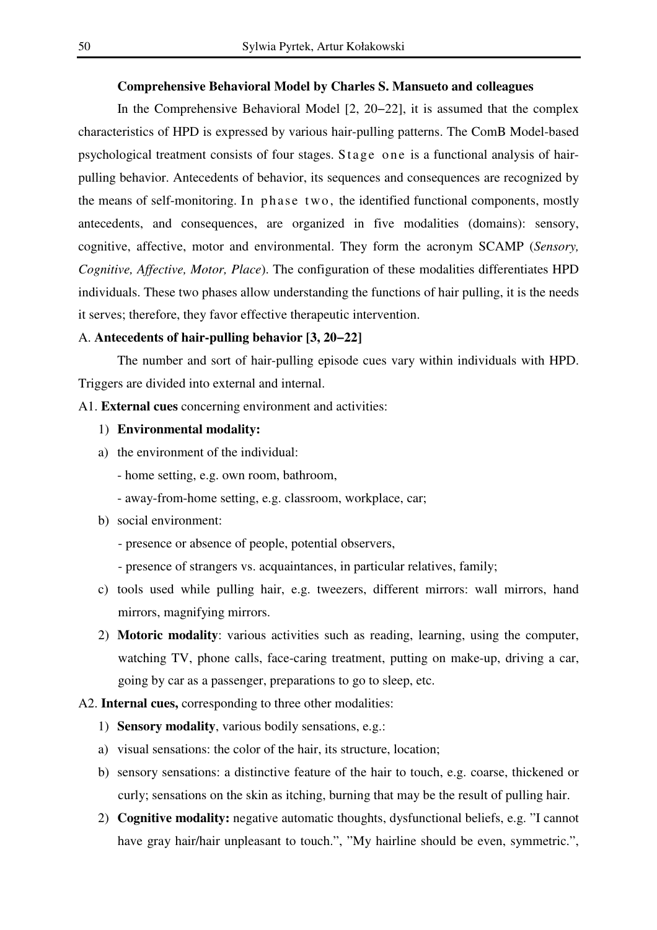#### **Comprehensive Behavioral Model by Charles S. Mansueto and colleagues**

In the Comprehensive Behavioral Model [2, 20−22], it is assumed that the complex characteristics of HPD is expressed by various hair-pulling patterns. The ComB Model-based psychological treatment consists of four stages. Stage one is a functional analysis of hairpulling behavior. Antecedents of behavior, its sequences and consequences are recognized by the means of self-monitoring. In phase two, the identified functional components, mostly antecedents, and consequences, are organized in five modalities (domains): sensory, cognitive, affective, motor and environmental. They form the acronym SCAMP (*Sensory, Cognitive, Affective, Motor, Place*). The configuration of these modalities differentiates HPD individuals. These two phases allow understanding the functions of hair pulling, it is the needs it serves; therefore, they favor effective therapeutic intervention.

#### A. **Antecedents of hair-pulling behavior [3, 20−22]**

The number and sort of hair-pulling episode cues vary within individuals with HPD. Triggers are divided into external and internal.

A1. **External cues** concerning environment and activities:

- 1) **Environmental modality:**
- a) the environment of the individual:
	- home setting, e.g. own room, bathroom,
	- away-from-home setting, e.g. classroom, workplace, car;
- b) social environment:
	- presence or absence of people, potential observers,
	- presence of strangers vs. acquaintances, in particular relatives, family;
- c) tools used while pulling hair, e.g. tweezers, different mirrors: wall mirrors, hand mirrors, magnifying mirrors.
- 2) **Motoric modality**: various activities such as reading, learning, using the computer, watching TV, phone calls, face-caring treatment, putting on make-up, driving a car, going by car as a passenger, preparations to go to sleep, etc.

#### A2. **Internal cues,** corresponding to three other modalities:

- 1) **Sensory modality**, various bodily sensations, e.g.:
- a) visual sensations: the color of the hair, its structure, location;
- b) sensory sensations: a distinctive feature of the hair to touch, e.g. coarse, thickened or curly; sensations on the skin as itching, burning that may be the result of pulling hair.
- 2) **Cognitive modality:** negative automatic thoughts, dysfunctional beliefs, e.g. "I cannot have gray hair/hair unpleasant to touch.", "My hairline should be even, symmetric.",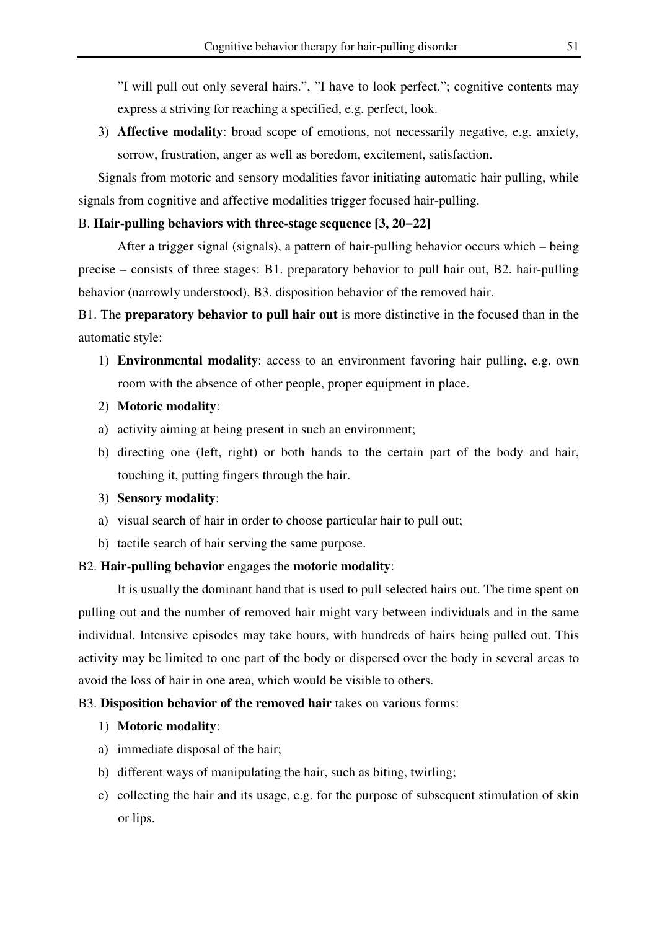"I will pull out only several hairs.", "I have to look perfect."; cognitive contents may express a striving for reaching a specified, e.g. perfect, look.

3) **Affective modality**: broad scope of emotions, not necessarily negative, e.g. anxiety, sorrow, frustration, anger as well as boredom, excitement, satisfaction.

Signals from motoric and sensory modalities favor initiating automatic hair pulling, while signals from cognitive and affective modalities trigger focused hair-pulling.

#### B. **Hair-pulling behaviors with three-stage sequence [3, 20−22]**

After a trigger signal (signals), a pattern of hair-pulling behavior occurs which – being precise – consists of three stages: B1. preparatory behavior to pull hair out, B2. hair-pulling behavior (narrowly understood), B3. disposition behavior of the removed hair.

# B1. The **preparatory behavior to pull hair out** is more distinctive in the focused than in the automatic style:

- 1) **Environmental modality**: access to an environment favoring hair pulling, e.g. own room with the absence of other people, proper equipment in place.
- 2) **Motoric modality**:
- a) activity aiming at being present in such an environment;
- b) directing one (left, right) or both hands to the certain part of the body and hair, touching it, putting fingers through the hair.
- 3) **Sensory modality**:
- a) visual search of hair in order to choose particular hair to pull out;
- b) tactile search of hair serving the same purpose.

## B2. **Hair-pulling behavior** engages the **motoric modality**:

It is usually the dominant hand that is used to pull selected hairs out. The time spent on pulling out and the number of removed hair might vary between individuals and in the same individual. Intensive episodes may take hours, with hundreds of hairs being pulled out. This activity may be limited to one part of the body or dispersed over the body in several areas to avoid the loss of hair in one area, which would be visible to others.

## B3. **Disposition behavior of the removed hair** takes on various forms:

## 1) **Motoric modality**:

- a) immediate disposal of the hair;
- b) different ways of manipulating the hair, such as biting, twirling;
- c) collecting the hair and its usage, e.g. for the purpose of subsequent stimulation of skin or lips.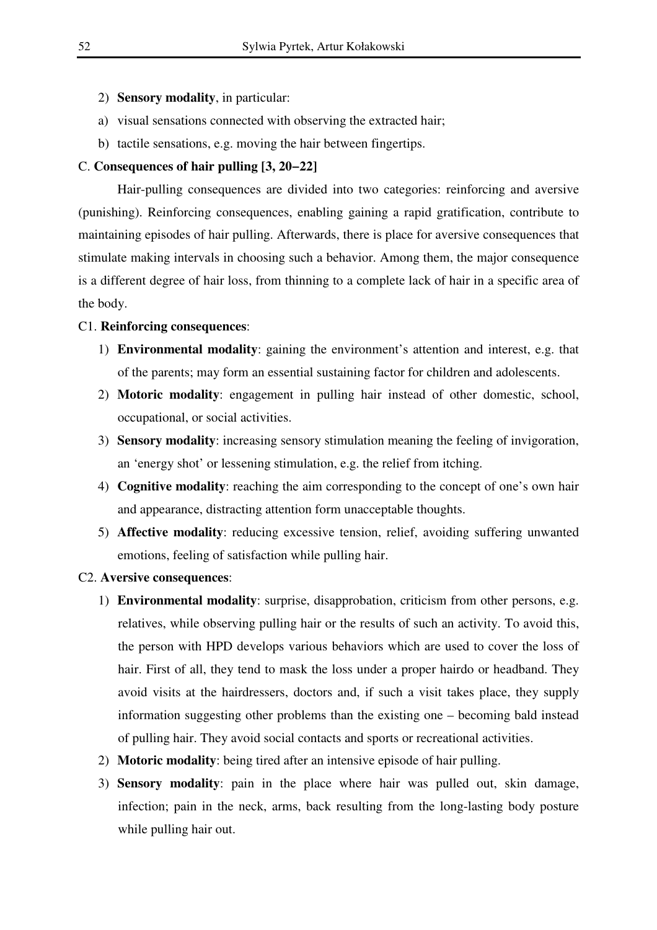- 2) **Sensory modality**, in particular:
- a) visual sensations connected with observing the extracted hair;
- b) tactile sensations, e.g. moving the hair between fingertips.

#### C. **Consequences of hair pulling [3, 20−22]**

Hair-pulling consequences are divided into two categories: reinforcing and aversive (punishing). Reinforcing consequences, enabling gaining a rapid gratification, contribute to maintaining episodes of hair pulling. Afterwards, there is place for aversive consequences that stimulate making intervals in choosing such a behavior. Among them, the major consequence is a different degree of hair loss, from thinning to a complete lack of hair in a specific area of the body.

#### C1. **Reinforcing consequences**:

- 1) **Environmental modality**: gaining the environment's attention and interest, e.g. that of the parents; may form an essential sustaining factor for children and adolescents.
- 2) **Motoric modality**: engagement in pulling hair instead of other domestic, school, occupational, or social activities.
- 3) **Sensory modality**: increasing sensory stimulation meaning the feeling of invigoration, an 'energy shot' or lessening stimulation, e.g. the relief from itching.
- 4) **Cognitive modality**: reaching the aim corresponding to the concept of one's own hair and appearance, distracting attention form unacceptable thoughts.
- 5) **Affective modality**: reducing excessive tension, relief, avoiding suffering unwanted emotions, feeling of satisfaction while pulling hair.

## C2. **Aversive consequences**:

- 1) **Environmental modality**: surprise, disapprobation, criticism from other persons, e.g. relatives, while observing pulling hair or the results of such an activity. To avoid this, the person with HPD develops various behaviors which are used to cover the loss of hair. First of all, they tend to mask the loss under a proper hairdo or headband. They avoid visits at the hairdressers, doctors and, if such a visit takes place, they supply information suggesting other problems than the existing one – becoming bald instead of pulling hair. They avoid social contacts and sports or recreational activities.
- 2) **Motoric modality**: being tired after an intensive episode of hair pulling.
- 3) **Sensory modality**: pain in the place where hair was pulled out, skin damage, infection; pain in the neck, arms, back resulting from the long-lasting body posture while pulling hair out.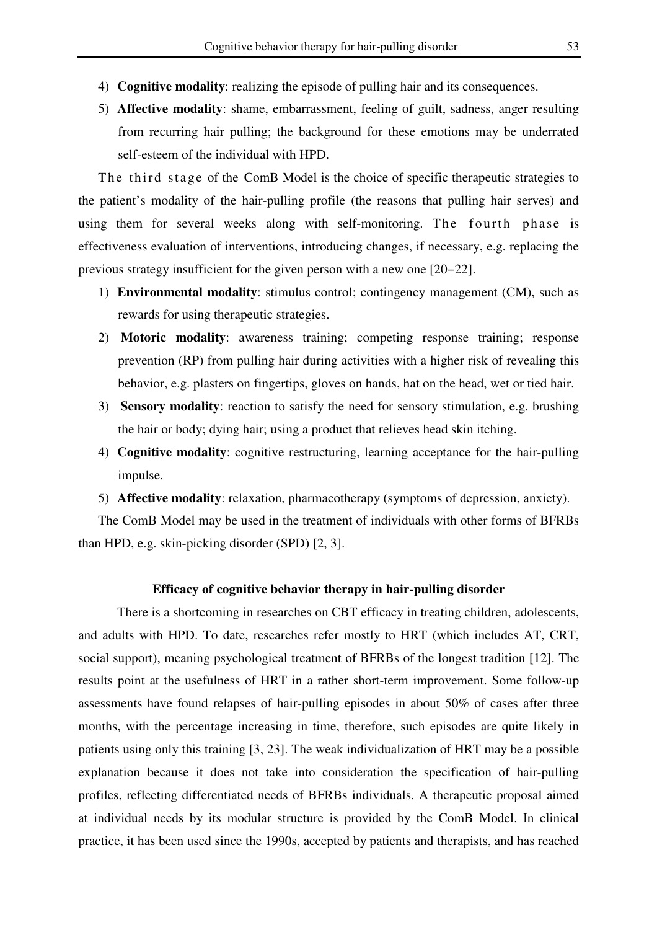- 4) **Cognitive modality**: realizing the episode of pulling hair and its consequences.
- 5) **Affective modality**: shame, embarrassment, feeling of guilt, sadness, anger resulting from recurring hair pulling; the background for these emotions may be underrated self-esteem of the individual with HPD.

The third stage of the ComB Model is the choice of specific therapeutic strategies to the patient's modality of the hair-pulling profile (the reasons that pulling hair serves) and using them for several weeks along with self-monitoring. The fourth phase is effectiveness evaluation of interventions, introducing changes, if necessary, e.g. replacing the previous strategy insufficient for the given person with a new one [20−22].

- 1) **Environmental modality**: stimulus control; contingency management (CM), such as rewards for using therapeutic strategies.
- 2) **Motoric modality**: awareness training; competing response training; response prevention (RP) from pulling hair during activities with a higher risk of revealing this behavior, e.g. plasters on fingertips, gloves on hands, hat on the head, wet or tied hair.
- 3) **Sensory modality**: reaction to satisfy the need for sensory stimulation, e.g. brushing the hair or body; dying hair; using a product that relieves head skin itching.
- 4) **Cognitive modality**: cognitive restructuring, learning acceptance for the hair-pulling impulse.
- 5) **Affective modality**: relaxation, pharmacotherapy (symptoms of depression, anxiety).

The ComB Model may be used in the treatment of individuals with other forms of BFRBs than HPD, e.g. skin-picking disorder (SPD) [2, 3].

## **Efficacy of cognitive behavior therapy in hair-pulling disorder**

There is a shortcoming in researches on CBT efficacy in treating children, adolescents, and adults with HPD. To date, researches refer mostly to HRT (which includes AT, CRT, social support), meaning psychological treatment of BFRBs of the longest tradition [12]. The results point at the usefulness of HRT in a rather short-term improvement. Some follow-up assessments have found relapses of hair-pulling episodes in about 50% of cases after three months, with the percentage increasing in time, therefore, such episodes are quite likely in patients using only this training [3, 23]. The weak individualization of HRT may be a possible explanation because it does not take into consideration the specification of hair-pulling profiles, reflecting differentiated needs of BFRBs individuals. A therapeutic proposal aimed at individual needs by its modular structure is provided by the ComB Model. In clinical practice, it has been used since the 1990s, accepted by patients and therapists, and has reached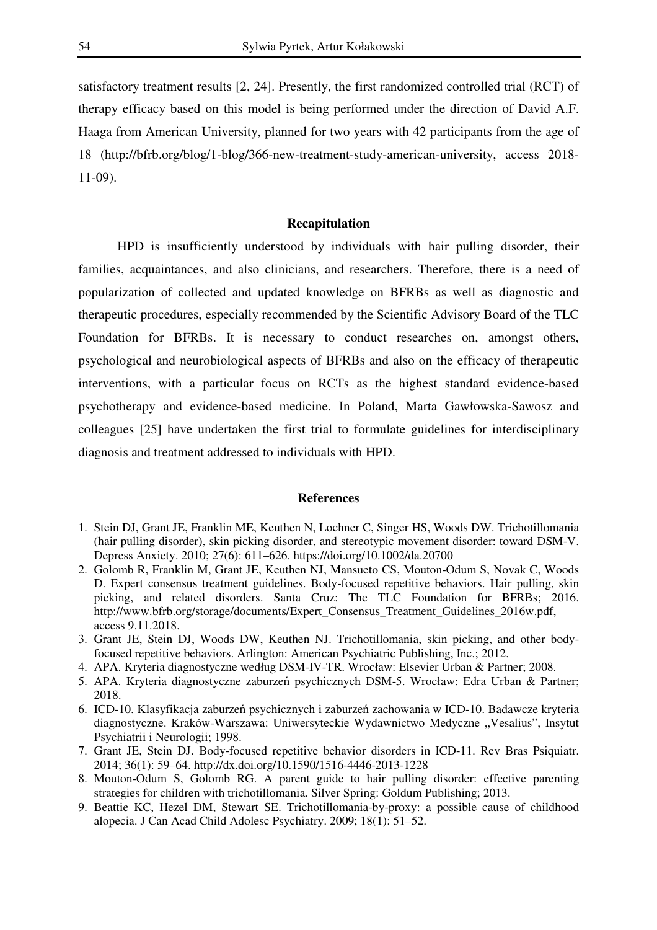satisfactory treatment results [2, 24]. Presently, the first randomized controlled trial (RCT) of therapy efficacy based on this model is being performed under the direction of David A.F. Haaga from American University, planned for two years with 42 participants from the age of 18 (http://bfrb.org/blog/1-blog/366-new-treatment-study-american-university, access 2018- 11-09).

#### **Recapitulation**

HPD is insufficiently understood by individuals with hair pulling disorder, their families, acquaintances, and also clinicians, and researchers. Therefore, there is a need of popularization of collected and updated knowledge on BFRBs as well as diagnostic and therapeutic procedures, especially recommended by the Scientific Advisory Board of the TLC Foundation for BFRBs. It is necessary to conduct researches on, amongst others, psychological and neurobiological aspects of BFRBs and also on the efficacy of therapeutic interventions, with a particular focus on RCTs as the highest standard evidence-based psychotherapy and evidence-based medicine. In Poland, Marta Gawłowska-Sawosz and colleagues [25] have undertaken the first trial to formulate guidelines for interdisciplinary diagnosis and treatment addressed to individuals with HPD.

#### **References**

- 1. Stein DJ, Grant JE, Franklin ME, Keuthen N, Lochner C, Singer HS, Woods DW. Trichotillomania (hair pulling disorder), skin picking disorder, and stereotypic movement disorder: toward DSM-V. Depress Anxiety. 2010; 27(6): 611–626. https://doi.org/10.1002/da.20700
- 2. Golomb R, Franklin M, Grant JE, Keuthen NJ, Mansueto CS, Mouton-Odum S, Novak C, Woods D. Expert consensus treatment guidelines. Body-focused repetitive behaviors. Hair pulling, skin picking, and related disorders. Santa Cruz: The TLC Foundation for BFRBs; 2016. http://www.bfrb.org/storage/documents/Expert\_Consensus\_Treatment\_Guidelines\_2016w.pdf, access 9.11.2018.
- 3. Grant JE, Stein DJ, Woods DW, Keuthen NJ. Trichotillomania, skin picking, and other bodyfocused repetitive behaviors. Arlington: American Psychiatric Publishing, Inc.; 2012.
- 4. APA. Kryteria diagnostyczne według DSM-IV-TR. Wrocław: Elsevier Urban & Partner; 2008.
- 5. APA. Kryteria diagnostyczne zaburzeń psychicznych DSM-5. Wrocław: Edra Urban & Partner; 2018.
- 6. ICD-10. Klasyfikacja zaburzeń psychicznych i zaburzeń zachowania w ICD-10. Badawcze kryteria diagnostyczne. Kraków-Warszawa: Uniwersyteckie Wydawnictwo Medyczne "Vesalius", Insytut Psychiatrii i Neurologii; 1998.
- 7. Grant JE, Stein DJ. Body-focused repetitive behavior disorders in ICD-11. Rev Bras Psiquiatr. 2014; 36(1): 59–64. http://dx.doi.org/10.1590/1516-4446-2013-1228
- 8. Mouton-Odum S, Golomb RG. A parent guide to hair pulling disorder: effective parenting strategies for children with trichotillomania. Silver Spring: Goldum Publishing; 2013.
- 9. Beattie KC, Hezel DM, Stewart SE. Trichotillomania-by-proxy: a possible cause of childhood alopecia. J Can Acad Child Adolesc Psychiatry. 2009; 18(1): 51–52.